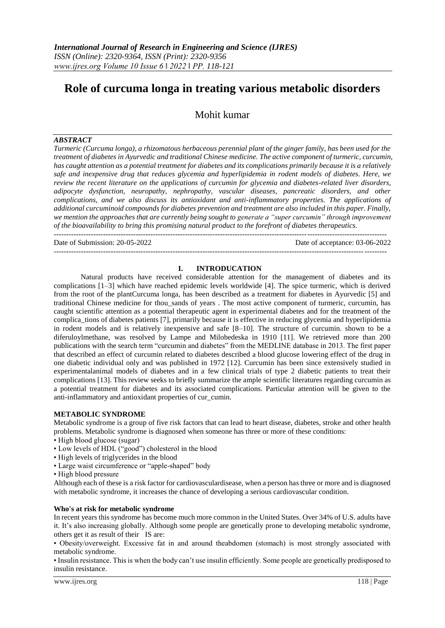# **Role of curcuma longa in treating various metabolic disorders**

Mohit kumar

# *ABSTRACT*

*Turmeric (Curcuma longa), a rhizomatous herbaceous perennial plant of the ginger family, has been used for the treatment of diabetes in Ayurvedic and traditional Chinese medicine. The active component of turmeric, curcumin, has caught attention as a potential treatment for diabetes and its complications primarily because it is a relatively safe and inexpensive drug that reduces glycemia and hyperlipidemia in rodent models of diabetes. Here, we review the recent literature on the applications of curcumin for glycemia and diabetes-related liver disorders, adipocyte dysfunction, neuropathy, nephropathy, vascular diseases, pancreatic disorders, and other complications, and we also discuss its antioxidant and anti-inflammatory properties. The applications of additional curcuminoid compounds for diabetes prevention and treatment are also included in this paper. Finally, we mention the approaches that are currently being sought to generate a "super curcumin" through improvement of the bioavailability to bring this promising natural product to the forefront of diabetes therapeutics.* --------------------------------------------------------------------------------------------------------------------------------------

Date of Submission: 20-05-2022 Date of acceptance: 03-06-2022

# **I. INTRODUCATION**

--------------------------------------------------------------------------------------------------------------------------------------

Natural products have received considerable attention for the management of diabetes and its complications [1–3] which have reached epidemic levels worldwide [4]. The spice turmeric, which is derived from the root of the plantCurcuma longa, has been described as a treatment for diabetes in Ayurvedic [5] and traditional Chinese medicine for thou\_sands of years . The most active component of turmeric, curcumin, has caught scientific attention as a potential therapeutic agent in experimental diabetes and for the treatment of the complica\_tions of diabetes patients [7], primarily because it is effective in reducing glycemia and hyperlipidemia in rodent models and is relatively inexpensive and safe [8–10]. The structure of curcumin. shown to be a diferuloylmethane, was resolved by Lampe and Milobedeska in 1910 [11]. We retrieved more than 200 publications with the search term "curcumin and diabetes" from the MEDLINE database in 2013. The first paper that described an effect of curcumin related to diabetes described a blood glucose lowering effect of the drug in one diabetic individual only and was published in 1972 [12]. Curcumin has been since extensively studied in experimentalanimal models of diabetes and in a few clinical trials of type 2 diabetic patients to treat their complications [13]. This review seeks to briefly summarize the ample scientific literatures regarding curcumin as a potential treatment for diabetes and its associated complications. Particular attention will be given to the anti-inflammatory and antioxidant properties of cur\_cumin.

# **METABOLIC SYNDROME**

Metabolic syndrome is a group of five risk factors that can lead to heart disease, diabetes, stroke and other health problems. Metabolic syndrome is diagnosed when someone has three or more of these conditions:

- High blood glucose (sugar)
- Low levels of HDL ("good") cholesterol in the blood
- High levels of triglycerides in the blood
- Large waist circumference or "apple-shaped" body
- High blood pressure

Although each of these is a risk factor for cardiovasculardisease, when a person has three or more and is diagnosed with metabolic syndrome, it increases the chance of developing a serious cardiovascular condition.

### **Who's at risk for metabolic syndrome**

In recent years this syndrome has become much more common in the United States. Over 34% of U.S. adults have it. It's also increasing globally. Although some people are genetically prone to developing metabolic syndrome, others get it as result of their IS are:

• Obesity/overweight. Excessive fat in and around theabdomen (stomach) is most strongly associated with metabolic syndrome.

• Insulin resistance. This is when the body can't use insulin efficiently. Some people are genetically predisposed to insulin resistance.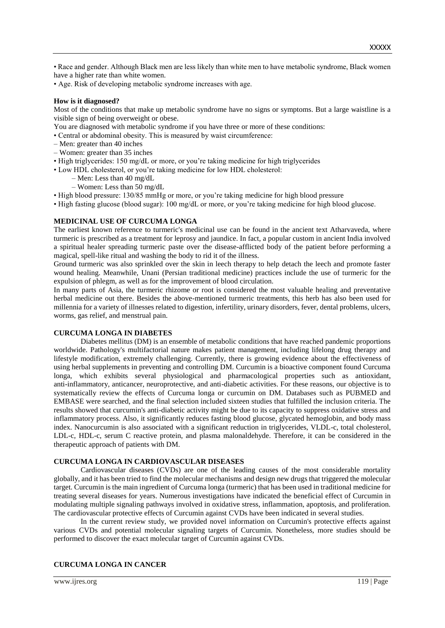• Race and gender. Although Black men are less likely than white men to have metabolic syndrome, Black women have a higher rate than white women.

• Age. Risk of developing metabolic syndrome increases with age.

### **How is it diagnosed?**

Most of the conditions that make up metabolic syndrome have no signs or symptoms. But a large waistline is a visible sign of being overweight or obese.

You are diagnosed with metabolic syndrome if you have three or more of these conditions:

- Central or abdominal obesity. This is measured by waist circumference:
- Men: greater than 40 inches
- Women: greater than 35 inches
- High triglycerides: 150 mg/dL or more, or you're taking medicine for high triglycerides
- Low HDL cholesterol, or you're taking medicine for low HDL cholesterol:
	- Men: Less than 40 mg/dL
		- Women: Less than 50 mg/dL
- High blood pressure: 130/85 mmHg or more, or you're taking medicine for high blood pressure
- High fasting glucose (blood sugar): 100 mg/dL or more, or you're taking medicine for high blood glucose.

# **MEDICINAL USE OF CURCUMA LONGA**

The earliest known reference to turmeric's medicinal use can be found in the ancient text Atharvaveda, where turmeric is prescribed as a treatment for leprosy and jaundice. In fact, a popular custom in ancient India involved a spiritual healer spreading turmeric paste over the disease-afflicted body of the patient before performing a magical, spell-like ritual and washing the body to rid it of the illness.

Ground turmeric was also sprinkled over the skin in leech therapy to help detach the leech and promote faster wound healing. Meanwhile, Unani (Persian traditional medicine) practices include the use of turmeric for the expulsion of phlegm, as well as for the improvement of blood circulation.

In many parts of Asia, the turmeric rhizome or root is considered the most valuable healing and preventative herbal medicine out there. Besides the above-mentioned turmeric treatments, this herb has also been used for millennia for a variety of illnesses related to digestion, infertility, urinary disorders, fever, dental problems, ulcers, worms, gas relief, and menstrual pain.

#### **CURCUMA LONGA IN DIABETES**

Diabetes mellitus (DM) is an ensemble of metabolic conditions that have reached pandemic proportions worldwide. Pathology's multifactorial nature makes patient management, including lifelong drug therapy and lifestyle modification, extremely challenging. Currently, there is growing evidence about the effectiveness of using herbal supplements in preventing and controlling DM. Curcumin is a bioactive component found Curcuma longa, which exhibits several physiological and pharmacological properties such as antioxidant, anti-inflammatory, anticancer, neuroprotective, and anti-diabetic activities. For these reasons, our objective is to systematically review the effects of Curcuma longa or curcumin on DM. Databases such as PUBMED and EMBASE were searched, and the final selection included sixteen studies that fulfilled the inclusion criteria. The results showed that curcumin's anti-diabetic activity might be due to its capacity to suppress oxidative stress and inflammatory process. Also, it significantly reduces fasting blood glucose, glycated hemoglobin, and body mass index. Nanocurcumin is also associated with a significant reduction in triglycerides, VLDL-c, total cholesterol, LDL-c, HDL-c, serum C reactive protein, and plasma malonaldehyde. Therefore, it can be considered in the therapeutic approach of patients with DM.

#### **CURCUMA LONGA IN CARDIOVASCULAR DISEASES**

Cardiovascular diseases (CVDs) are one of the leading causes of the most considerable mortality globally, and it has been tried to find the molecular mechanisms and design new drugs that triggered the molecular target. Curcumin is the main ingredient of Curcuma longa (turmeric) that has been used in traditional medicine for treating several diseases for years. Numerous investigations have indicated the beneficial effect of Curcumin in modulating multiple signaling pathways involved in oxidative stress, inflammation, apoptosis, and proliferation. The cardiovascular protective effects of Curcumin against CVDs have been indicated in several studies.

In the current review study, we provided novel information on Curcumin's protective effects against various CVDs and potential molecular signaling targets of Curcumin. Nonetheless, more studies should be performed to discover the exact molecular target of Curcumin against CVDs.

# **CURCUMA LONGA IN CANCER**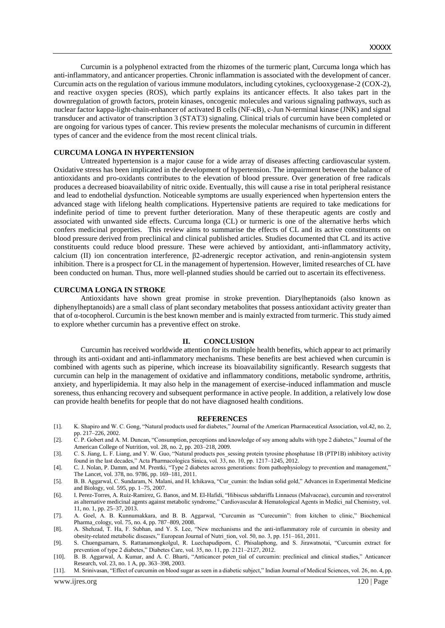Curcumin is a polyphenol extracted from the rhizomes of the turmeric plant, Curcuma longa which has anti-inflammatory, and anticancer properties. Chronic inflammation is associated with the development of cancer. Curcumin acts on the regulation of various immune modulators, including cytokines, cyclooxygenase-2 (COX-2), and reactive oxygen species (ROS), which partly explains its anticancer effects. It also takes part in the downregulation of growth factors, protein kinases, oncogenic molecules and various signaling pathways, such as nuclear factor kappa-light-chain-enhancer of activated B cells (NF-κB), c-Jun N-terminal kinase (JNK) and signal transducer and activator of transcription 3 (STAT3) signaling. Clinical trials of curcumin have been completed or are ongoing for various types of cancer. This review presents the molecular mechanisms of curcumin in different types of cancer and the evidence from the most recent clinical trials.

#### **CURCUMA LONGA IN HYPERTENSION**

Untreated hypertension is a major cause for a wide array of diseases affecting cardiovascular system. Oxidative stress has been implicated in the development of hypertension. The impairment between the balance of antioxidants and pro-oxidants contributes to the elevation of blood pressure. Over generation of free radicals produces a decreased bioavailability of nitric oxide. Eventually, this will cause a rise in total peripheral resistance and lead to endothelial dysfunction. Noticeable symptoms are usually experienced when hypertension enters the advanced stage with lifelong health complications. Hypertensive patients are required to take medications for indefinite period of time to prevent further deterioration. Many of these therapeutic agents are costly and associated with unwanted side effects. Curcuma longa (CL) or turmeric is one of the alternative herbs which confers medicinal properties. This review aims to summarise the effects of CL and its active constituents on blood pressure derived from preclinical and clinical published articles. Studies documented that CL and its active constituents could reduce blood pressure. These were achieved by antioxidant, anti-inflammatory activity, calcium (II) ion concentration interference, β2-adrenergic receptor activation, and renin-angiotensin system inhibition. There is a prospect for CL in the management of hypertension. However, limited researches of CL have been conducted on human. Thus, more well-planned studies should be carried out to ascertain its effectiveness.

#### **CURCUMA LONGA IN STROKE**

Antioxidants have shown great promise in stroke prevention. Diarylheptanoids (also known as diphenylheptanoids) are a small class of plant secondary metabolites that possess antioxidant activity greater than that of α-tocopherol. Curcumin is the best known member and is mainly extracted from turmeric. This study aimed to explore whether curcumin has a preventive effect on stroke.

#### **II. CONCLUSION**

Curcumin has received worldwide attention for its multiple health benefits, which appear to act primarily through its anti-oxidant and anti-inflammatory mechanisms. These benefits are best achieved when curcumin is combined with agents such as piperine, which increase its bioavailability significantly. Research suggests that curcumin can help in the management of oxidative and inflammatory conditions, metabolic syndrome, arthritis, anxiety, and hyperlipidemia. It may also help in the management of exercise-induced inflammation and muscle soreness, thus enhancing recovery and subsequent performance in active people. In addition, a relatively low dose can provide health benefits for people that do not have diagnosed health conditions.

#### **REFERENCES**

- [1]. K. Shapiro and W. C. Gong, "Natural products used for diabetes," Journal of the American Pharmaceutical Association, vol.42, no. 2, pp. 217–226, 2002.
- [2]. C. P. Gobert and A. M. Duncan, "Consumption, perceptions and knowledge of soy among adults with type 2 diabetes," Journal of the American College of Nutrition, vol. 28, no. 2, pp. 203–218, 2009.
- [3]. C. S. Jiang, L. F. Liang, and Y. W. Guo, "Natural products pos\_sessing protein tyrosine phosphatase 1B (PTP1B) inhibitory activity found in the last decades," Acta Pharmacologica Sinica, vol. 33, no. 10, pp. 1217–1245, 2012.
- [4]. C. J. Nolan, P. Damm, and M. Prentki, "Type 2 diabetes across generations: from pathophysiology to prevention and management," The Lancet, vol. 378, no. 9786, pp. 169–181, 2011.
- [5]. B. B. Aggarwal, C. Sundaram, N. Malani, and H. Ichikawa, "Cur\_cumin: the Indian solid gold," Advances in Experimental Medicine and Biology, vol. 595, pp. 1–75, 2007.
- [6]. I. Perez-Torres, A. Ruiz-Ramirez, G. Banos, and M. El-Hafidi, "Hibiscus sabdariffa Linnaeus (Malvaceae), curcumin and resveratrol as alternative medicinal agents against metabolic syndrome," Cardiovascular & Hematological Agents in Medici\_nal Chemistry, vol. 11, no. 1, pp. 25–37, 2013.
- [7]. A. Goel, A. B. Kunnumakkara, and B. B. Aggarwal, "Curcumin as "Curecumin": from kitchen to clinic," Biochemical Pharma\_cology, vol. 75, no. 4, pp. 787–809, 2008.
- [8]. A. Shehzad, T. Ha, F. Subhan, and Y. S. Lee, "New mechanisms and the anti-inflammatory role of curcumin in obesity and obesity-related metabolic diseases," European Journal of Nutri\_tion, vol. 50, no. 3, pp. 151–161, 2011.
- [9]. S. Chuengsamarn, S. Rattanamongkolgul, R. Luechapudiporn, C. Phisalaphong, and S. Jirawatnotai, "Curcumin extract for prevention of type 2 diabetes," Diabetes Care, vol. 35, no. 11, pp. 2121–2127, 2012.
- [10]. B. B. Aggarwal, A. Kumar, and A. C. Bharti, "Anticancer poten\_tial of curcumin: preclinical and clinical studies," Anticancer Research, vol. 23, no. 1 A, pp. 363–398, 2003.
- [11]. M. Srinivasan, "Effect of curcumin on blood sugar as seen in a diabetic subject," Indian Journal of Medical Sciences, vol. 26, no. 4, pp.